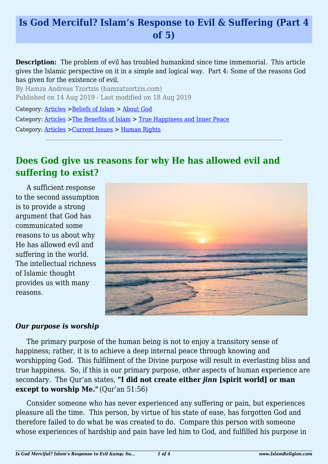# **Is God Merciful? Islam's Response to Evil & Suffering (Part 4 of 5)**

**Description:** The problem of evil has troubled humankind since time immemorial. This article gives the Islamic perspective on it in a simple and logical way. Part 4: Some of the reasons God has given for the existence of evil.

By Hamza Andreas Tzortzis (hamzatzortzis.com) Published on 14 Aug 2019 - Last modified on 18 Aug 2019

Category: [Articles](http://www.islamreligion.com/articles/) >[Beliefs of Islam](http://www.islamreligion.com/category/48/) > [About God](http://www.islamreligion.com/category/51/) Category: [Articles](http://www.islamreligion.com/articles/) >[The Benefits of Islam](http://www.islamreligion.com/category/43/) > [True Happiness and Inner Peace](http://www.islamreligion.com/category/104/) Category: [Articles](http://www.islamreligion.com/articles/) >[Current Issues](http://www.islamreligion.com/category/83/) > [Human Rights](http://www.islamreligion.com/category/92/)

# **Does God give us reasons for why He has allowed evil and suffering to exist?**

A sufficient response to the second assumption is to provide a strong argument that God has communicated some reasons to us about why He has allowed evil and suffering in the world. The intellectual richness of Islamic thought provides us with many reasons.



### *Our purpose is worship*

The primary purpose of the human being is not to enjoy a transitory sense of happiness; rather, it is to achieve a deep internal peace through knowing and worshipping God. This fulfilment of the Divine purpose will result in everlasting bliss and true happiness. So, if this is our primary purpose, other aspects of human experience are secondary. The Qur'an states, **"I did not create either** *jinn* **[spirit world] or man except to worship Me."** (Our'an 51:56)

Consider someone who has never experienced any suffering or pain, but experiences pleasure all the time. This person, by virtue of his state of ease, has forgotten God and therefore failed to do what he was created to do. Compare this person with someone whose experiences of hardship and pain have led him to God, and fulfilled his purpose in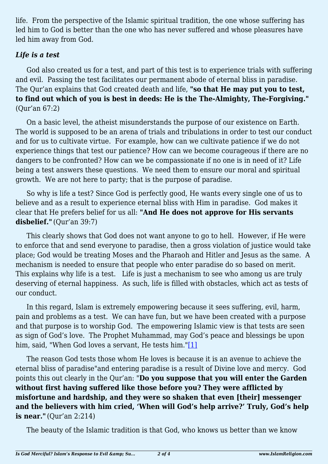life. From the perspective of the Islamic spiritual tradition, the one whose suffering has led him to God is better than the one who has never suffered and whose pleasures have led him away from God.

## *Life is a test*

God also created us for a test, and part of this test is to experience trials with suffering and evil. Passing the test facilitates our permanent abode of eternal bliss in paradise. The Qur'an explains that God created death and life, **"so that He may put you to test, to find out which of you is best in deeds: He is the The-Almighty, The-Forgiving."** (Qur'an 67:2)

On a basic level, the atheist misunderstands the purpose of our existence on Earth. The world is supposed to be an arena of trials and tribulations in order to test our conduct and for us to cultivate virtue. For example, how can we cultivate patience if we do not experience things that test our patience? How can we become courageous if there are no dangers to be confronted? How can we be compassionate if no one is in need of it? Life being a test answers these questions. We need them to ensure our moral and spiritual growth. We are not here to party; that is the purpose of paradise.

So why is life a test? Since God is perfectly good, He wants every single one of us to believe and as a result to experience eternal bliss with Him in paradise. God makes it clear that He prefers belief for us all: **"And He does not approve for His servants disbelief."** (Qur'an 39:7)

This clearly shows that God does not want anyone to go to hell. However, if He were to enforce that and send everyone to paradise, then a gross violation of justice would take place; God would be treating Moses and the Pharaoh and Hitler and Jesus as the same. A mechanism is needed to ensure that people who enter paradise do so based on merit. This explains why life is a test. Life is just a mechanism to see who among us are truly deserving of eternal happiness. As such, life is filled with obstacles, which act as tests of our conduct.

In this regard, Islam is extremely empowering because it sees suffering, evil, harm, pain and problems as a test. We can have fun, but we have been created with a purpose and that purpose is to worship God. The empowering Islamic view is that tests are seen as sign of God's love. The Prophet Muhammad, may God's peace and blessings be upon him, said, "When God loves a servant, He tests him.["\[1\]](#page-2-0)

<span id="page-1-0"></span>The reason God tests those whom He loves is because it is an avenue to achieve the eternal bliss of paradise"and entering paradise is a result of Divine love and mercy. God points this out clearly in the Qur'an: "**Do you suppose that you will enter the Garden without first having suffered like those before you? They were afflicted by misfortune and hardship, and they were so shaken that even [their] messenger and the believers with him cried, 'When will God's help arrive?' Truly, God's help is near.**" (Qur'an 2:214)

The beauty of the Islamic tradition is that God, who knows us better than we know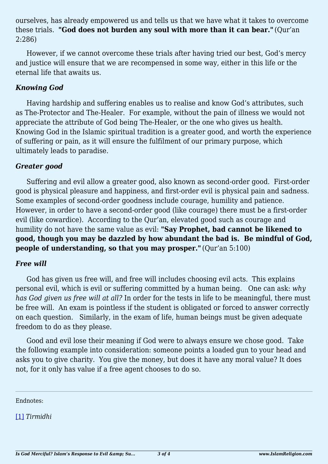ourselves, has already empowered us and tells us that we have what it takes to overcome these trials. **"God does not burden any soul with more than it can bear."** (Qur'an 2:286)

However, if we cannot overcome these trials after having tried our best, God's mercy and justice will ensure that we are recompensed in some way, either in this life or the eternal life that awaits us.

### *Knowing God*

Having hardship and suffering enables us to realise and know God's attributes, such as The-Protector and The-Healer. For example, without the pain of illness we would not appreciate the attribute of God being The-Healer, or the one who gives us health. Knowing God in the Islamic spiritual tradition is a greater good, and worth the experience of suffering or pain, as it will ensure the fulfilment of our primary purpose, which ultimately leads to paradise.

#### *Greater good*

Suffering and evil allow a greater good, also known as second-order good. First-order good is physical pleasure and happiness, and first-order evil is physical pain and sadness. Some examples of second-order goodness include courage, humility and patience. However, in order to have a second-order good (like courage) there must be a first-order evil (like cowardice). According to the Qur'an, elevated good such as courage and humility do not have the same value as evil: **"Say Prophet, bad cannot be likened to good, though you may be dazzled by how abundant the bad is. Be mindful of God, people of understanding, so that you may prosper."** (Qur'an 5:100)

#### *Free will*

God has given us free will, and free will includes choosing evil acts. This explains personal evil, which is evil or suffering committed by a human being. One can ask: *why has God given us free will at all?* In order for the tests in life to be meaningful, there must be free will. An exam is pointless if the student is obligated or forced to answer correctly on each question. Similarly, in the exam of life, human beings must be given adequate freedom to do as they please.

Good and evil lose their meaning if God were to always ensure we chose good. Take the following example into consideration: someone points a loaded gun to your head and asks you to give charity. You give the money, but does it have any moral value? It does not, for it only has value if a free agent chooses to do so.

<span id="page-2-0"></span>Endnotes:

[\[1\]](#page-1-0) *Tirmidhi*